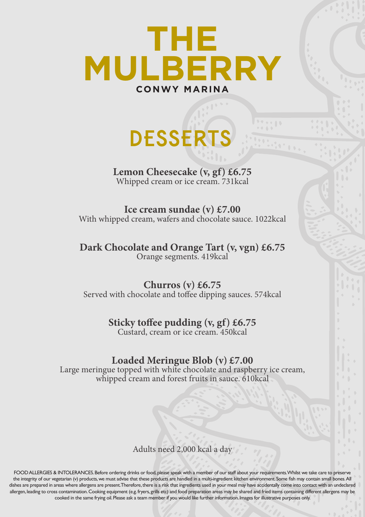

## **DESSERTS**

**Lemon Cheesecake (v, gf) £6.75** Whipped cream or ice cream. 731kcal

**Ice cream sundae (v) £7.00** With whipped cream, wafers and chocolate sauce. 1022kcal

**Dark Chocolate and Orange Tart (v, vgn) £6.75** Orange segments. 419kcal

**Churros (v) £6.75** Served with chocolate and toffee dipping sauces. 574kcal

## **Sticky toffee pudding (v, gf) £6.75**

Custard, cream or ice cream. 450kcal

## **Loaded Meringue Blob (v) £7.00**

Large meringue topped with white chocolate and raspberry ice cream, whipped cream and forest fruits in sauce. 610kcal

Adults need 2,000 kcal a day

FOOD ALLERGIES & INTOLERANCES. Before ordering drinks or food, please speak with a member of our staff about your requirements. Whilst we take care to preserve the integrity of our vegetarian (v) products, we must advise that these products are handled in a multi-ingredient kitchen environment. Some fish may contain small bones. All dishes are prepared in areas where allergens are present. Therefore, there is a risk that ingredients used in your meal may have accidentally come into contact with an undeclared allergen, leading to cross contamination. Cooking equipment (e.g. fryers, grills etc) and food preparation areas may be shared and fried items containing different allergens may be cooked in the same frying oil. Please ask a team member if you would like further information. Images for illustrative purposes only.